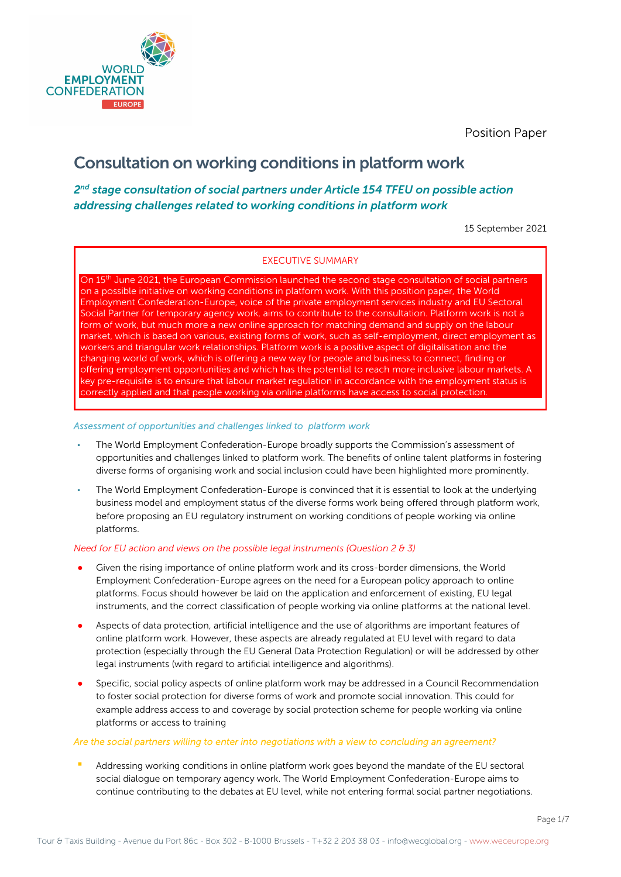

# Consultation on working conditions in platform work

### 2<sup>nd</sup> stage consultation of social partners under Article 154 TFEU on possible action addressing challenges related to working conditions in platform work

15 September 2021

### EXECUTIVE SUMMARY

On 15<sup>th</sup> June 2021, the European Commission launched the second stage consultation of social partners on a possible initiative on working conditions in platform work. With this position paper, the World Employment Confederation-Europe, voice of the private employment services industry and EU Sectoral Social Partner for temporary agency work, aims to contribute to the consultation. Platform work is not a form of work, but much more a new online approach for matching demand and supply on the labour market, which is based on various, existing forms of work, such as self-employment, direct employment as workers and triangular work relationships. Platform work is a positive aspect of digitalisation and the changing world of work, which is offering a new way for people and business to connect, finding or offering employment opportunities and which has the potential to reach more inclusive labour markets. A key pre-requisite is to ensure that labour market regulation in accordance with the employment status is correctly applied and that people working via online platforms have access to social protection.

### Assessment of opportunities and challenges linked to platform work

- The World Employment Confederation-Europe broadly supports the Commission's assessment of opportunities and challenges linked to platform work. The benefits of online talent platforms in fostering diverse forms of organising work and social inclusion could have been highlighted more prominently.
- The World Employment Confederation-Europe is convinced that it is essential to look at the underlying business model and employment status of the diverse forms work being offered through platform work, before proposing an EU regulatory instrument on working conditions of people working via online platforms.

#### Need for EU action and views on the possible legal instruments (Question 2  $\theta$  3)

- Given the rising importance of online platform work and its cross-border dimensions, the World Employment Confederation-Europe agrees on the need for a European policy approach to online platforms. Focus should however be laid on the application and enforcement of existing, EU legal instruments, and the correct classification of people working via online platforms at the national level.
- Aspects of data protection, artificial intelligence and the use of algorithms are important features of online platform work. However, these aspects are already regulated at EU level with regard to data protection (especially through the EU General Data Protection Regulation) or will be addressed by other legal instruments (with regard to artificial intelligence and algorithms).
- Specific, social policy aspects of online platform work may be addressed in a Council Recommendation to foster social protection for diverse forms of work and promote social innovation. This could for example address access to and coverage by social protection scheme for people working via online platforms or access to training

#### Are the social partners willing to enter into negotiations with a view to concluding an agreement?

Addressing working conditions in online platform work goes beyond the mandate of the EU sectoral social dialogue on temporary agency work. The World Employment Confederation-Europe aims to continue contributing to the debates at EU level, while not entering formal social partner negotiations.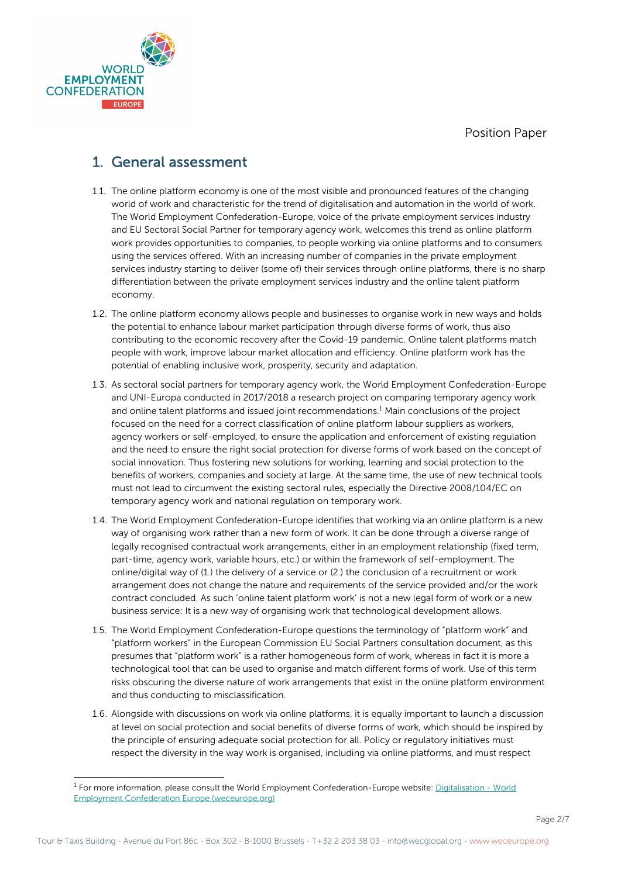

## 1. General assessment

- 1.1. The online platform economy is one of the most visible and pronounced features of the changing world of work and characteristic for the trend of digitalisation and automation in the world of work. The World Employment Confederation-Europe, voice of the private employment services industry and EU Sectoral Social Partner for temporary agency work, welcomes this trend as online platform work provides opportunities to companies, to people working via online platforms and to consumers using the services offered. With an increasing number of companies in the private employment services industry starting to deliver (some of) their services through online platforms, there is no sharp differentiation between the private employment services industry and the online talent platform economy.
- 1.2. The online platform economy allows people and businesses to organise work in new ways and holds the potential to enhance labour market participation through diverse forms of work, thus also contributing to the economic recovery after the Covid-19 pandemic. Online talent platforms match people with work, improve labour market allocation and efficiency. Online platform work has the potential of enabling inclusive work, prosperity, security and adaptation.
- 1.3. As sectoral social partners for temporary agency work, the World Employment Confederation-Europe and UNI-Europa conducted in 2017/2018 a research project on comparing temporary agency work and online talent platforms and issued joint recommendations. $<sup>1</sup>$  Main conclusions of the project</sup> focused on the need for a correct classification of online platform labour suppliers as workers, agency workers or self-employed, to ensure the application and enforcement of existing regulation and the need to ensure the right social protection for diverse forms of work based on the concept of social innovation. Thus fostering new solutions for working, learning and social protection to the benefits of workers, companies and society at large. At the same time, the use of new technical tools must not lead to circumvent the existing sectoral rules, especially the Directive 2008/104/EC on temporary agency work and national regulation on temporary work.
- 1.4. The World Employment Confederation-Europe identifies that working via an online platform is a new way of organising work rather than a new form of work. It can be done through a diverse range of legally recognised contractual work arrangements, either in an employment relationship (fixed term, part-time, agency work, variable hours, etc.) or within the framework of self-employment. The online/digital way of (1.) the delivery of a service or (2.) the conclusion of a recruitment or work arrangement does not change the nature and requirements of the service provided and/or the work contract concluded. As such 'online talent platform work' is not a new legal form of work or a new business service: It is a new way of organising work that technological development allows.
- 1.5. The World Employment Confederation-Europe questions the terminology of "platform work" and "platform workers" in the European Commission EU Social Partners consultation document, as this presumes that "platform work" is a rather homogeneous form of work, whereas in fact it is more a technological tool that can be used to organise and match different forms of work. Use of this term risks obscuring the diverse nature of work arrangements that exist in the online platform environment and thus conducting to misclassification.
- 1.6. Alongside with discussions on work via online platforms, it is equally important to launch a discussion at level on social protection and social benefits of diverse forms of work, which should be inspired by the principle of ensuring adequate social protection for all. Policy or regulatory initiatives must respect the diversity in the way work is organised, including via online platforms, and must respect

<sup>&</sup>lt;sup>1</sup> For more information, please consult the World Employment Confederation-Europe website: Digitalisation - World Employment Confederation Europe (weceurope.org)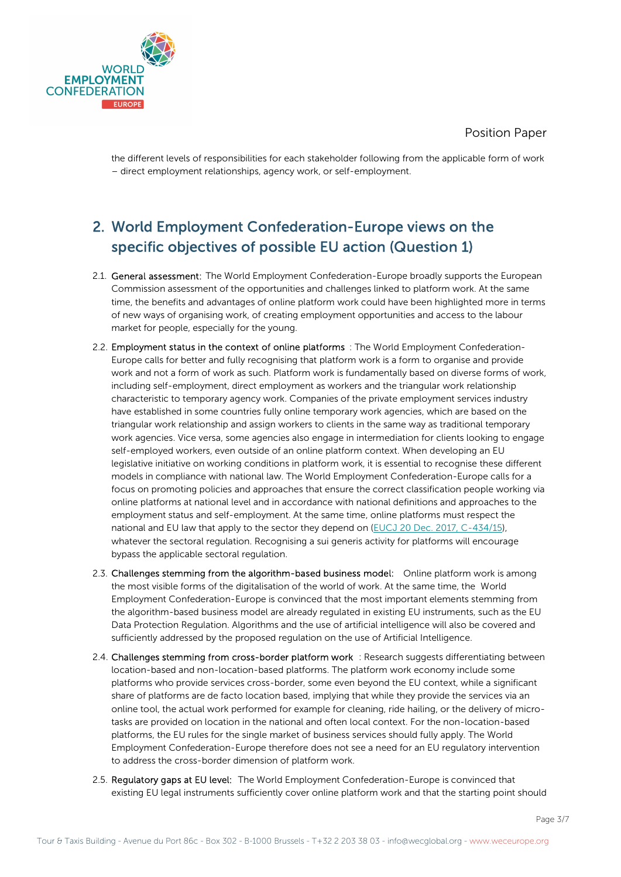

the different levels of responsibilities for each stakeholder following from the applicable form of work – direct employment relationships, agency work, or self-employment.

# 2. World Employment Confederation-Europe views on the specific objectives of possible EU action (Question 1)

- 2.1. General assessment: The World Employment Confederation-Europe broadly supports the European Commission assessment of the opportunities and challenges linked to platform work. At the same time, the benefits and advantages of online platform work could have been highlighted more in terms of new ways of organising work, of creating employment opportunities and access to the labour market for people, especially for the young.
- 2.2. Employment status in the context of online platforms : The World Employment Confederation-Europe calls for better and fully recognising that platform work is a form to organise and provide work and not a form of work as such. Platform work is fundamentally based on diverse forms of work, including self-employment, direct employment as workers and the triangular work relationship characteristic to temporary agency work. Companies of the private employment services industry have established in some countries fully online temporary work agencies, which are based on the triangular work relationship and assign workers to clients in the same way as traditional temporary work agencies. Vice versa, some agencies also engage in intermediation for clients looking to engage self-employed workers, even outside of an online platform context. When developing an EU legislative initiative on working conditions in platform work, it is essential to recognise these different models in compliance with national law. The World Employment Confederation-Europe calls for a focus on promoting policies and approaches that ensure the correct classification people working via online platforms at national level and in accordance with national definitions and approaches to the employment status and self-employment. At the same time, online platforms must respect the national and EU law that apply to the sector they depend on (EUCJ 20 Dec. 2017, C-434/15), whatever the sectoral regulation. Recognising a sui generis activity for platforms will encourage bypass the applicable sectoral regulation.
- 2.3. Challenges stemming from the algorithm-based business model: Online platform work is among the most visible forms of the digitalisation of the world of work. At the same time, the World Employment Confederation-Europe is convinced that the most important elements stemming from the algorithm-based business model are already regulated in existing EU instruments, such as the EU Data Protection Regulation. Algorithms and the use of artificial intelligence will also be covered and sufficiently addressed by the proposed regulation on the use of Artificial Intelligence.
- 2.4. Challenges stemming from cross-border platform work : Research suggests differentiating between location-based and non-location-based platforms. The platform work economy include some platforms who provide services cross-border, some even beyond the EU context, while a significant share of platforms are de facto location based, implying that while they provide the services via an online tool, the actual work performed for example for cleaning, ride hailing, or the delivery of microtasks are provided on location in the national and often local context. For the non-location-based platforms, the EU rules for the single market of business services should fully apply. The World Employment Confederation-Europe therefore does not see a need for an EU regulatory intervention to address the cross-border dimension of platform work.
- 2.5. Regulatory gaps at EU level: The World Employment Confederation-Europe is convinced that existing EU legal instruments sufficiently cover online platform work and that the starting point should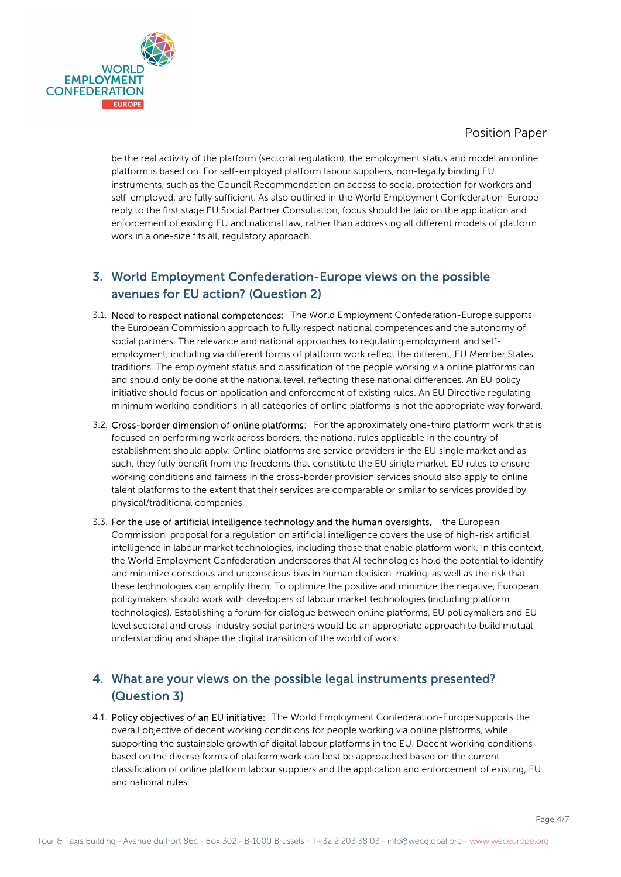

be the real activity of the platform (sectoral regulation), the employment status and model an online platform is based on. For self-employed platform labour suppliers, non-legally binding EU instruments, such as the Council Recommendation on access to social protection for workers and self-employed, are fully sufficient. As also outlined in the World Employment Confederation-Europe reply to the first stage EU Social Partner Consultation, focus should be laid on the application and enforcement of existing EU and national law, rather than addressing all different models of platform work in a one-size fits all, regulatory approach.

## 3. World Employment Confederation-Europe views on the possible avenues for EU action? (Question 2)

- 3.1. Need to respect national competences: The World Employment Confederation-Europe supports the European Commission approach to fully respect national competences and the autonomy of social partners. The relevance and national approaches to regulating employment and selfemployment, including via different forms of platform work reflect the different, EU Member States traditions. The employment status and classification of the people working via online platforms can and should only be done at the national level, reflecting these national differences. An EU policy initiative should focus on application and enforcement of existing rules. An EU Directive regulating minimum working conditions in all categories of online platforms is not the appropriate way forward.
- 3.2. Cross-border dimension of online platforms: For the approximately one-third platform work that is focused on performing work across borders, the national rules applicable in the country of establishment should apply. Online platforms are service providers in the EU single market and as such, they fully benefit from the freedoms that constitute the EU single market. EU rules to ensure working conditions and fairness in the cross-border provision services should also apply to online talent platforms to the extent that their services are comparable or similar to services provided by physical/traditional companies.
- 3.3. For the use of artificial intelligence technology and the human oversights, the European Commission proposal for a regulation on artificial intelligence covers the use of high-risk artificial intelligence in labour market technologies, including those that enable platform work. In this context, the World Employment Confederation underscores that AI technologies hold the potential to identify and minimize conscious and unconscious bias in human decision-making, as well as the risk that these technologies can amplify them. To optimize the positive and minimize the negative, European policymakers should work with developers of labour market technologies (including platform technologies). Establishing a forum for dialogue between online platforms, EU policymakers and EU level sectoral and cross-industry social partners would be an appropriate approach to build mutual understanding and shape the digital transition of the world of work.

## 4. What are your views on the possible legal instruments presented? (Question 3)

4.1. Policy objectives of an EU initiative: The World Employment Confederation-Europe supports the overall objective of decent working conditions for people working via online platforms, while supporting the sustainable growth of digital labour platforms in the EU. Decent working conditions based on the diverse forms of platform work can best be approached based on the current classification of online platform labour suppliers and the application and enforcement of existing, EU and national rules.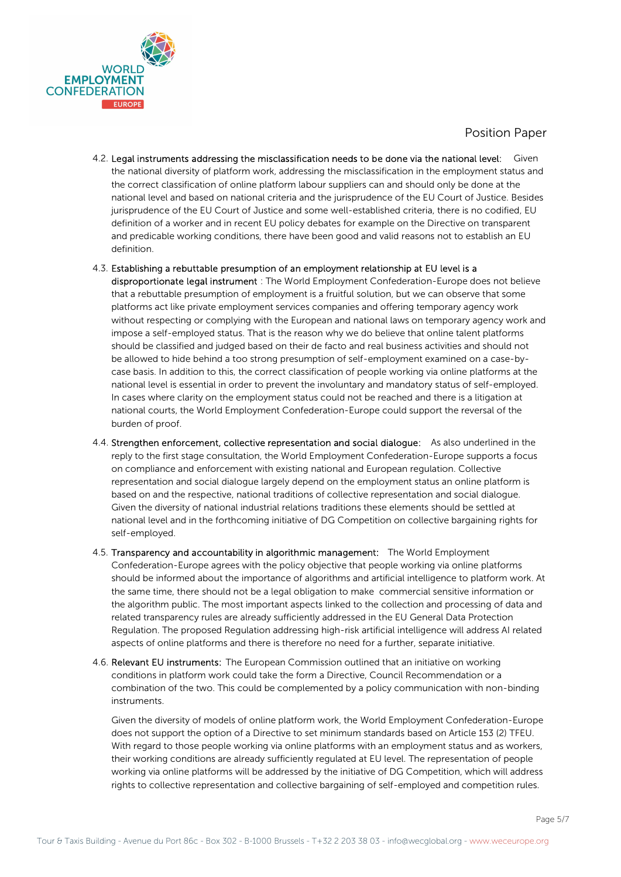

- 4.2. Legal instruments addressing the misclassification needs to be done via the national level: Given the national diversity of platform work, addressing the misclassification in the employment status and the correct classification of online platform labour suppliers can and should only be done at the national level and based on national criteria and the jurisprudence of the EU Court of Justice. Besides jurisprudence of the EU Court of Justice and some well-established criteria, there is no codified, EU definition of a worker and in recent EU policy debates for example on the Directive on transparent and predicable working conditions, there have been good and valid reasons not to establish an EU definition.
- 4.3. Establishing a rebuttable presumption of an employment relationship at EU level is a disproportionate legal instrument : The World Employment Confederation-Europe does not believe that a rebuttable presumption of employment is a fruitful solution, but we can observe that some platforms act like private employment services companies and offering temporary agency work without respecting or complying with the European and national laws on temporary agency work and impose a self-employed status. That is the reason why we do believe that online talent platforms should be classified and judged based on their de facto and real business activities and should not be allowed to hide behind a too strong presumption of self-employment examined on a case-bycase basis. In addition to this, the correct classification of people working via online platforms at the national level is essential in order to prevent the involuntary and mandatory status of self-employed. In cases where clarity on the employment status could not be reached and there is a litigation at national courts, the World Employment Confederation-Europe could support the reversal of the burden of proof.
- 4.4. Strengthen enforcement, collective representation and social dialogue: As also underlined in the reply to the first stage consultation, the World Employment Confederation-Europe supports a focus on compliance and enforcement with existing national and European regulation. Collective representation and social dialogue largely depend on the employment status an online platform is based on and the respective, national traditions of collective representation and social dialogue. Given the diversity of national industrial relations traditions these elements should be settled at national level and in the forthcoming initiative of DG Competition on collective bargaining rights for self-employed.
- 4.5. Transparency and accountability in algorithmic management: The World Employment Confederation-Europe agrees with the policy objective that people working via online platforms should be informed about the importance of algorithms and artificial intelligence to platform work. At the same time, there should not be a legal obligation to make commercial sensitive information or the algorithm public. The most important aspects linked to the collection and processing of data and related transparency rules are already sufficiently addressed in the EU General Data Protection Regulation. The proposed Regulation addressing high-risk artificial intelligence will address AI related aspects of online platforms and there is therefore no need for a further, separate initiative.
- 4.6. Relevant EU instruments: The European Commission outlined that an initiative on working conditions in platform work could take the form a Directive, Council Recommendation or a combination of the two. This could be complemented by a policy communication with non-binding instruments.

Given the diversity of models of online platform work, the World Employment Confederation-Europe does not support the option of a Directive to set minimum standards based on Article 153 (2) TFEU. With regard to those people working via online platforms with an employment status and as workers, their working conditions are already sufficiently regulated at EU level. The representation of people working via online platforms will be addressed by the initiative of DG Competition, which will address rights to collective representation and collective bargaining of self-employed and competition rules.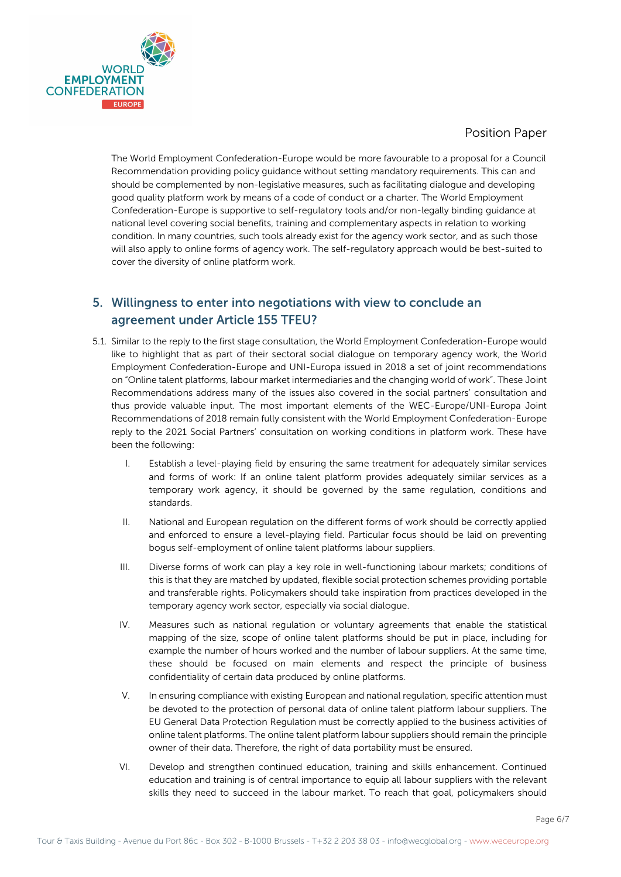

The World Employment Confederation-Europe would be more favourable to a proposal for a Council Recommendation providing policy guidance without setting mandatory requirements. This can and should be complemented by non-legislative measures, such as facilitating dialogue and developing good quality platform work by means of a code of conduct or a charter. The World Employment Confederation-Europe is supportive to self-regulatory tools and/or non-legally binding guidance at national level covering social benefits, training and complementary aspects in relation to working condition. In many countries, such tools already exist for the agency work sector, and as such those will also apply to online forms of agency work. The self-regulatory approach would be best-suited to cover the diversity of online platform work.

### 5. Willingness to enter into negotiations with view to conclude an agreement under Article 155 TFEU?

- 5.1. Similar to the reply to the first stage consultation, the World Employment Confederation-Europe would like to highlight that as part of their sectoral social dialogue on temporary agency work, the World Employment Confederation-Europe and UNI-Europa issued in 2018 a set of joint recommendations on "Online talent platforms, labour market intermediaries and the changing world of work". These Joint Recommendations address many of the issues also covered in the social partners' consultation and thus provide valuable input. The most important elements of the WEC-Europe/UNI-Europa Joint Recommendations of 2018 remain fully consistent with the World Employment Confederation-Europe reply to the 2021 Social Partners' consultation on working conditions in platform work. These have been the following:
	- I. Establish a level-playing field by ensuring the same treatment for adequately similar services and forms of work: If an online talent platform provides adequately similar services as a temporary work agency, it should be governed by the same regulation, conditions and standards.
	- II. National and European regulation on the different forms of work should be correctly applied and enforced to ensure a level-playing field. Particular focus should be laid on preventing bogus self-employment of online talent platforms labour suppliers.
	- III. Diverse forms of work can play a key role in well-functioning labour markets; conditions of this is that they are matched by updated, flexible social protection schemes providing portable and transferable rights. Policymakers should take inspiration from practices developed in the temporary agency work sector, especially via social dialogue.
	- IV. Measures such as national regulation or voluntary agreements that enable the statistical mapping of the size, scope of online talent platforms should be put in place, including for example the number of hours worked and the number of labour suppliers. At the same time, these should be focused on main elements and respect the principle of business confidentiality of certain data produced by online platforms.
	- V. In ensuring compliance with existing European and national regulation, specific attention must be devoted to the protection of personal data of online talent platform labour suppliers. The EU General Data Protection Regulation must be correctly applied to the business activities of online talent platforms. The online talent platform labour suppliers should remain the principle owner of their data. Therefore, the right of data portability must be ensured.
	- VI. Develop and strengthen continued education, training and skills enhancement. Continued education and training is of central importance to equip all labour suppliers with the relevant skills they need to succeed in the labour market. To reach that goal, policymakers should